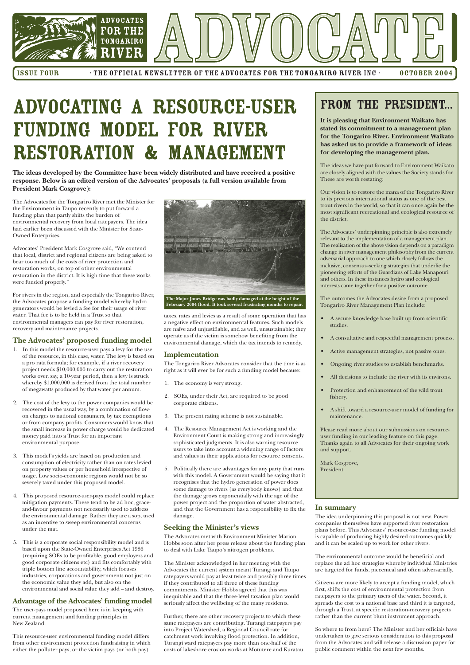

ISSUE FOUR FILE OFFICIAL NEWSLETTER OF THE ADVOCATES FOR THE TONGARIRO RIVER INC OCTOBER 2004

# ADVOCATING A RESOURCE-USER **FUNDING MODEL FOR RIVER RESTORATION & MANAGEMENT**

The Advocates for the Tongariro River met the Minister for the Environment in Taupo recently to put forward a funding plan that partly shifts the burden of environmental recovery from local ratepayers. The idea had earlier been discussed with the Minister for State-Owned Enterprises.

Advocates' President Mark Cosgrove said, "We contend that local, district and regional citizens are being asked to bear too much of the costs of river protection and restoration works, on top of other environmental restoration in the district. It is high time that these works were funded properly."

For rivers in the region, and especially the Tongariro River, the Advocates propose a funding model whereby hydro generators would be levied a fee for their usage of river water. That fee is to be held in a Trust so that environmental managers can pay for river restoration, recovery and maintenance projects.

### **The Advocates' proposed funding model**

- 1. In this model the resource-user pays a levy for the use of the resource, in this case, water. The levy is based on a pro rata formula; for example, if a river recovery project needs \$10,000,000 to carry out the restoration works over, say, a 10-year period, then a levy is struck whereby \$1,000,000 is derived from the total number of megawatts produced by that water per annum.
- 2. The cost of the levy to the power companies would be recovered in the usual way, by a combination of flowon charges to national consumers, by tax exemptions or from company profits. Consumers would know that the small increase in power charge would be dedicated money paid into a Trust for an important environmental purpose.
- 3. This model's yields are based on production and consumption of electricity rather than on rates levied on property values or per household irrespective of usage. Low socio-economic regions would not be so severely taxed under this proposed model.
- 4. This proposed resource-user-pays model could replace

mitigation payments. These tend to be ad hoc, graceand-favour payments not necessarily used to address the environmental damage. Rather they are a sop, used as an incentive to sweep environmental concerns under the mat.

5. This is a corporate social responsibility model and is based upon the State-Owned Enterprises Act 1986 (requiring SOEs to be profitable, good employers and good corporate citizens etc) and fits comfortably with triple bottom line accountability, which focuses industries, corporations and governments not just on the economic value they add, but also on the environmental and social value they add – and destroy.

### **Advantage of the Advocates' funding model**

The user-pays model proposed here is in keeping with current management and funding principles in New Zealand.

This resource-user environmental funding model differs from other environment protection fundraising in which either the polluter pays, or the victim pays (or both pay)

taxes, rates and levies as a result of some operation that has a negative effect on environmental features. Such models are naïve and unjustifiable, and as well, unsustainable; they operate as if the victim is somehow benefiting from the environmental damage, which the tax intends to remedy.

### **Implementation**

The Tongariro River Advocates consider that the time is as right as it will ever be for such a funding model because:

- 1. The economy is very strong.
- 2. SOEs, under their Act, are required to be good corporate citizens.
- 3. The present rating scheme is not sustainable.
- 4. The Resource Management Act is working and the Environment Court is making strong and increasingly sophisticated judgments. It is also warning resource users to take into account a widening range of factors and values in their applications for resource consents.
- 5. Politically there are advantages for any party that runs with this model. A Government would be saying that it recognises that the hydro generation of power does some damage to rivers (as everybody knows) and that the damage grows exponentially with the age of the

power project and the proportion of water abstracted, and that the Government has a responsibility to fix the damage.

### **Seeking the Minister's views**

The Advocates met with Environment Minister Marion Hobbs soon after her press release about the funding plan to deal with Lake Taupo's nitrogen problems.

The Minister acknowledged in her meeting with the Advocates the current system meant Turangi and Taupo ratepayers would pay at least twice and possibly three times if they contributed to all three of these funding commitments. Minister Hobbs agreed that this was inequitable and that the three-level taxation plan would seriously affect the wellbeing of the many residents.

Further, there are other recovery projects to which these same ratepayers are contributing. Turangi ratepayers pay into Project Watershed, a Regional Council rate for catchment work involving flood protection. In addition, Turangi ward ratepayers pay more than one-half of the costs of lakeshore erosion works at Motutere and Kuratau.

**The ideas developed by the Committee have been widely distributed and have received a positive response. Below is an edited version of the Advocates' proposals (a full version available from President Mark Cosgrove):**

## FROM THE PRESIDENT...

**It is pleasing that Environment Waikato has stated its commitment to a management plan for the Tongariro River. Environment Waikato has asked us to provide a framework of ideas for developing the management plan.**

The ideas we have put forward to Environment Waikato are closely aligned with the values the Society stands for. These are worth restating:

Our vision is to restore the mana of the Tongariro River to its previous international status as one of the best trout rivers in the world, so that it can once again be the most significant recreational and ecological resource of the district.

The Advocates' underpinning principle is also extremely relevant to the implementation of a management plan. The realisation of the above vision depends on a paradigm change in river management philosophy from the current adversarial approach to one which closely follows the inclusive, consensus–seeking strategies that underlie the pioneering efforts of the Guardians of Lake Manapouri and others. In these instances hydro and ecological interests came together for a positive outcome.

The outcomes the Advocates desire from a proposed Tongariro River Management Plan include:

- A secure knowledge base built up from scientific studies.
- A consultative and respectful management process.
- Active management strategies, not passive ones.
- Ongoing river studies to establish benchmarks.
- All decisions to include the river with its environs.
- Protection and enhancement of the wild trout fishery.
- A shift toward a resource-user model of funding for maintenance.

Please read more about our submissions on resourceuser funding in our leading feature on this page. Thanks again to all Advocates for their ongoing work and support.

Mark Cosgrove, President.



### **In summary**

The idea underpinning this proposal is not new. Power companies themselves have supported river restoration plans before. This Advocates' resource-use funding model is capable of producing highly desired outcomes quickly and it can be scaled up to work for other rivers.

The environmental outcome would be beneficial and replace the ad hoc strategies whereby individual Ministries are targeted for funds, piecemeal and often adversarially.

Citizens are more likely to accept a funding model, which first, shifts the cost of environmental protection from ratepayers to the primary users of the water. Second, it spreads the cost to a national base and third it is targeted, through a Trust, at specific restoration-recovery projects rather than the current blunt instrument approach.

So where to from here? The Minister and her officials have undertaken to give serious consideration to this proposal from the Advocates and will release a discussion paper for public comment within the next few months.